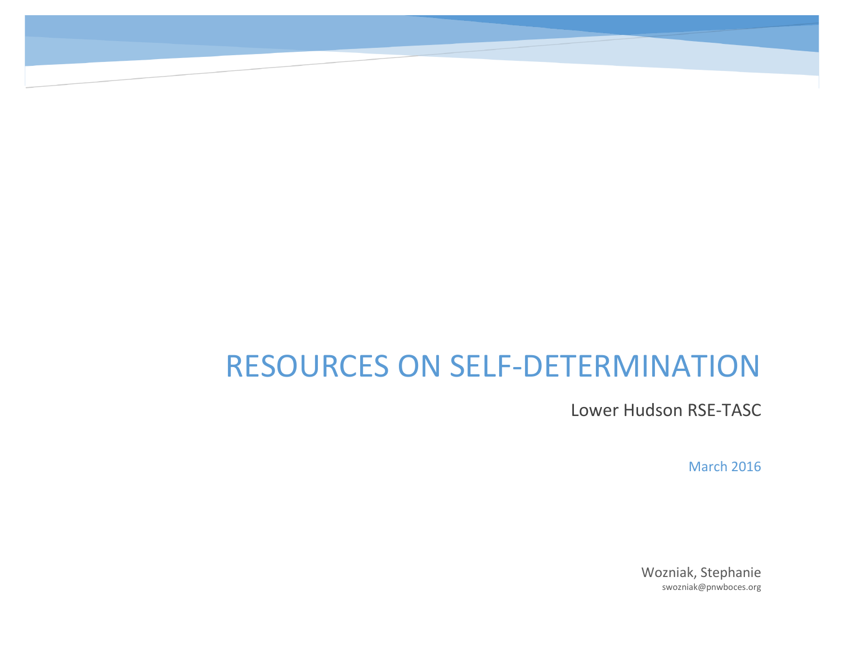# RESOURCES ON SELF-DETERMINATION

Lower Hudson RSE-TASC

March 2016

Wozniak, Stephanie swozniak@pnwboces.org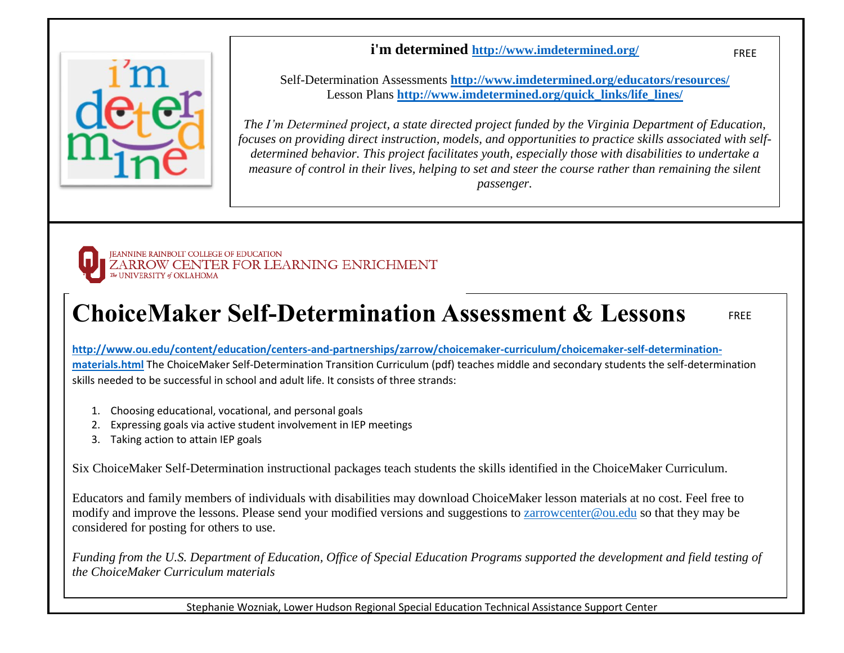#### **i'm determined <http://www.imdetermined.org/>**



Self-Determination Assessments **<http://www.imdetermined.org/educators/resources/>** Lesson Plans **[http://www.imdetermined.org/quick\\_links/life\\_lines/](http://www.imdetermined.org/quick_links/life_lines/)**

*The I'm Determined project, a state directed project funded by the Virginia Department of Education, focuses on providing direct instruction, models, and opportunities to practice skills associated with selfdetermined behavior. This project facilitates youth, especially those with disabilities to undertake a measure of control in their lives, helping to set and steer the course rather than remaining the silent passenger.*

FREE

FREE



## **ChoiceMaker Self-Determination Assessment & Lessons**

**[http://www.ou.edu/content/education/centers-and-partnerships/zarrow/choicemaker-curriculum/choicemaker-self-determination](http://www.ou.edu/content/education/centers-and-partnerships/zarrow/choicemaker-curriculum/choicemaker-self-determination-materials.html)[materials.html](http://www.ou.edu/content/education/centers-and-partnerships/zarrow/choicemaker-curriculum/choicemaker-self-determination-materials.html)** Th[e ChoiceMaker Self-Determination Transition Curriculum](http://www.ou.edu/content/dam/Education/documents/ChoiceMaker%20Curriculum.pdf) (pdf) teaches middle and secondary students the self-determination skills needed to be successful in school and adult life. It consists of three strands:

- 1. Choosing educational, vocational, and personal goals
- 2. Expressing goals via active student involvement in IEP meetings
- 3. Taking action to attain IEP goals

Six ChoiceMaker Self-Determination instructional packages teach students the skills identified in the ChoiceMaker Curriculum.

Educators and family members of individuals with disabilities may download ChoiceMaker lesson materials at no cost. Feel free to modify and improve the lessons. Please send your modified versions and suggestions to [zarrowcenter@ou.edu](mailto:zarrowcenter@ou.edu) so that they may be considered for posting for others to use.

*Funding from the U.S. Department of Education, Office of Special Education Programs supported the development and field testing of the ChoiceMaker Curriculum materials*

Stephanie Wozniak, Lower Hudson Regional Special Education Technical Assistance Support Center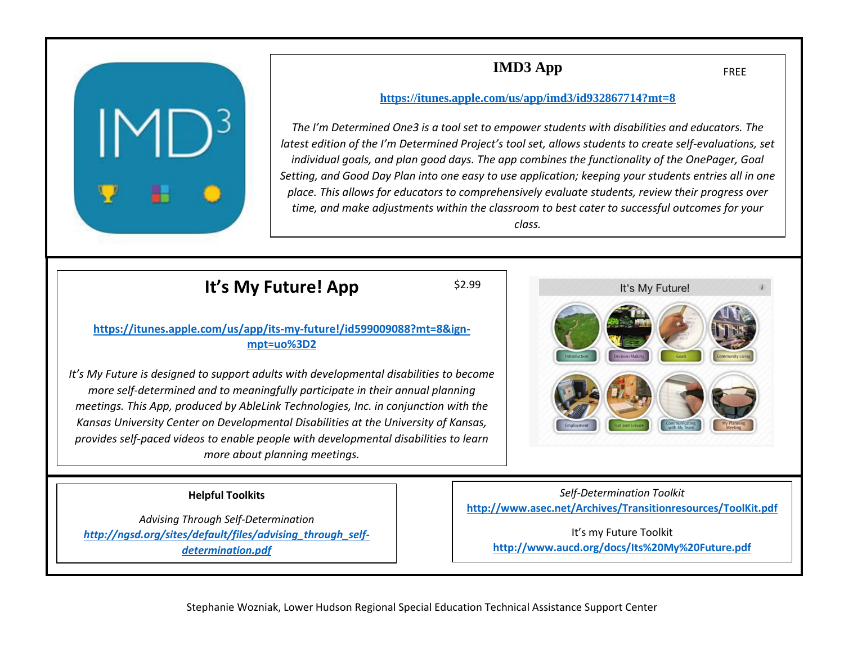

### **IMD3 App**

FREE

#### **<https://itunes.apple.com/us/app/imd3/id932867714?mt=8>**

*The I'm Determined One3 is a tool set to empower students with disabilities and educators. The latest edition of the I'm Determined Project's tool set, allows students to create self-evaluations, set individual goals, and plan good days. The app combines the functionality of the OnePager, Goal Setting, and Good Day Plan into one easy to use application; keeping your students entries all in one place. This allows for educators to comprehensively evaluate students, review their progress over time, and make adjustments within the classroom to best cater to successful outcomes for your class.*

### **It's My Future! App**

\$2.99

#### **[https://itunes.apple.com/us/app/its-my-future!/id599009088?mt=8&ign](https://itunes.apple.com/us/app/its-my-future!/id599009088?mt=8&ign-mpt=uo%3D2)[mpt=uo%3D2](https://itunes.apple.com/us/app/its-my-future!/id599009088?mt=8&ign-mpt=uo%3D2)**

 *provides self-paced videos to enable people with developmental disabilities to learn It's My Future is designed to support adults with developmental disabilities to become more self-determined and to meaningfully participate in their annual planning meetings. This App, produced by AbleLink Technologies, Inc. in conjunction with the Kansas University Center on Developmental Disabilities at the University of Kansas, more about planning meetings.*

#### **Helpful Toolkits**

*Advising Through Self-Determination [http://ngsd.org/sites/default/files/advising\\_through\\_self](http://ngsd.org/sites/default/files/advising_through_self-determination.pdf)[determination.pdf](http://ngsd.org/sites/default/files/advising_through_self-determination.pdf)*

It's My Future!

*Self-Determination Toolkit* **<http://www.asec.net/Archives/Transitionresources/ToolKit.pdf>**

> It's my Future Toolkit **<http://www.aucd.org/docs/Its%20My%20Future.pdf>**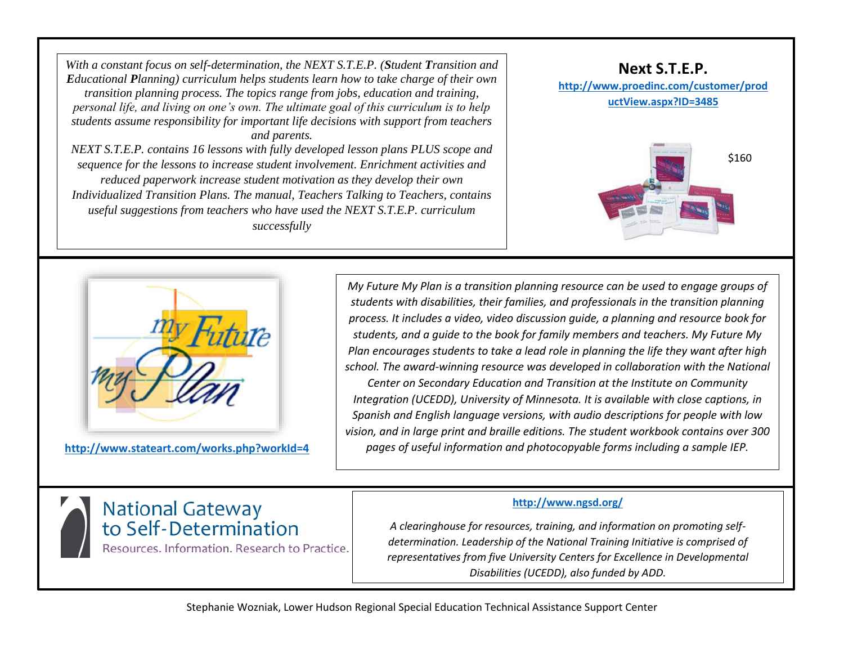*With a constant focus on self-determination, the NEXT S.T.E.P. (Student Transition and Educational Planning) curriculum helps students learn how to take charge of their own transition planning process. The topics range from jobs, education and training, personal life, and living on one's own. The ultimate goal of this curriculum is to help students assume responsibility for important life decisions with support from teachers and parents. NEXT S.T.E.P. contains 16 lessons with fully developed lesson plans PLUS scope and* 

*sequence for the lessons to increase student involvement. Enrichment activities and reduced paperwork increase student motivation as they develop their own Individualized Transition Plans. The manual, Teachers Talking to Teachers, contains useful suggestions from teachers who have used the NEXT S.T.E.P. curriculum successfully*





**<http://www.stateart.com/works.php?workId=4>**

*My Future My Plan is a transition planning resource can be used to engage groups of students with disabilities, their families, and professionals in the transition planning process. It includes a video, video discussion guide, a planning and resource book for students, and a guide to the book for family members and teachers. My Future My Plan encourages students to take a lead role in planning the life they want after high school. The award-winning resource was developed in collaboration with the National Center on Secondary Education and Transition at the Institute on Community Integration (UCEDD), University of Minnesota. It is available with close captions, in Spanish and English language versions, with audio descriptions for people with low vision, and in large print and braille editions. The student workbook contains over 300 pages of useful information and photocopyable forms including a sample IEP.*

## National Gateway<br>to Self-Determination Resources. Information. Research to Practice.

**<http://www.ngsd.org/>**

*A clearinghouse for resources, training, and information on promoting selfdetermination. Leadership of the National Training Initiative is comprised of representatives from five University Centers for Excellence in Developmental Disabilities (UCEDD), also funded by ADD.*

Stephanie Wozniak, Lower Hudson Regional Special Education Technical Assistance Support Center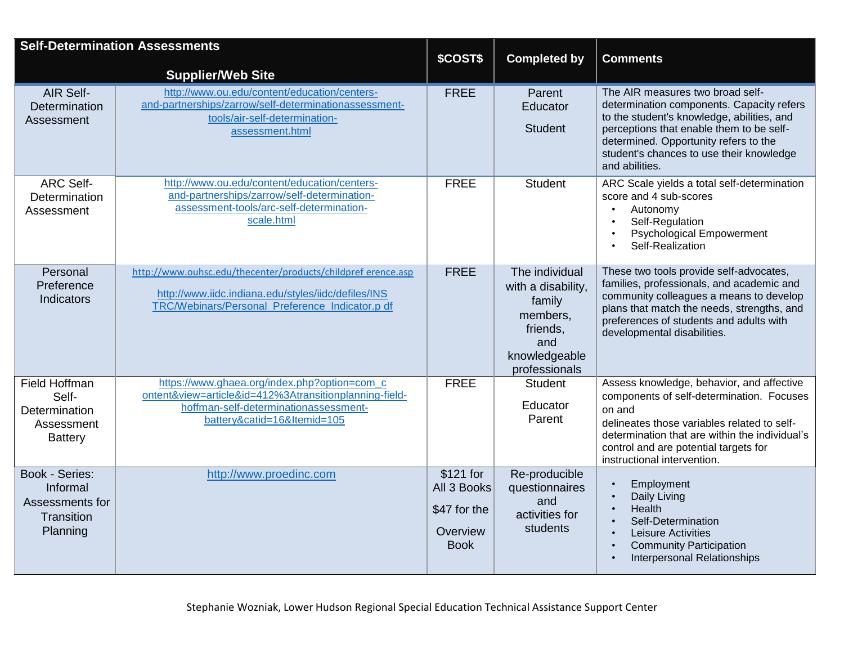| <b>Self-Determination Assessments</b> |                                                                                                       |                         |                                 |                                                                                       |
|---------------------------------------|-------------------------------------------------------------------------------------------------------|-------------------------|---------------------------------|---------------------------------------------------------------------------------------|
|                                       |                                                                                                       | \$COST\$                | <b>Completed by</b>             | <b>Comments</b>                                                                       |
|                                       | <b>Supplier/Web Site</b>                                                                              |                         |                                 |                                                                                       |
| AIR Self-                             | http://www.ou.edu/content/education/centers-<br>and-partnerships/zarrow/self-determinationassessment- | <b>FREE</b>             | Parent                          | The AIR measures two broad self-<br>determination components. Capacity refers         |
| Determination<br>Assessment           | tools/air-self-determination-                                                                         |                         | Educator                        | to the student's knowledge, abilities, and                                            |
|                                       | assessment.html                                                                                       |                         | <b>Student</b>                  | perceptions that enable them to be self-<br>determined. Opportunity refers to the     |
|                                       |                                                                                                       |                         |                                 | student's chances to use their knowledge                                              |
|                                       |                                                                                                       |                         |                                 | and abilities.                                                                        |
| <b>ARC Self-</b>                      | http://www.ou.edu/content/education/centers-                                                          | <b>FREE</b>             | <b>Student</b>                  | ARC Scale yields a total self-determination                                           |
| Determination                         | and-partnerships/zarrow/self-determination-<br>assessment-tools/arc-self-determination-               |                         |                                 | score and 4 sub-scores                                                                |
| Assessment                            | scale.html                                                                                            |                         |                                 | Autonomy<br>Self-Regulation                                                           |
|                                       |                                                                                                       |                         |                                 | <b>Psychological Empowerment</b><br>$\bullet$                                         |
|                                       |                                                                                                       |                         |                                 | Self-Realization                                                                      |
| Personal                              | http://www.ouhsc.edu/thecenter/products/childpref erence.asp                                          | <b>FREE</b>             | The individual                  | These two tools provide self-advocates,                                               |
| Preference                            |                                                                                                       |                         | with a disability,              | families, professionals, and academic and                                             |
| Indicators                            | http://www.iidc.indiana.edu/styles/iidc/defiles/INS                                                   |                         | family                          | community colleagues a means to develop                                               |
|                                       | TRC/Webinars/Personal Preference Indicator.p df                                                       |                         | members,                        | plans that match the needs, strengths, and<br>preferences of students and adults with |
|                                       |                                                                                                       |                         | friends,                        | developmental disabilities.                                                           |
|                                       |                                                                                                       |                         | and                             |                                                                                       |
|                                       |                                                                                                       |                         | knowledgeable                   |                                                                                       |
| <b>Field Hoffman</b>                  | https://www.ghaea.org/index.php?option=com c                                                          | <b>FREE</b>             | professionals<br><b>Student</b> | Assess knowledge, behavior, and affective                                             |
| Self-                                 | ontent&view=article&id=412%3Atransitionplanning-field-                                                |                         |                                 | components of self-determination. Focuses                                             |
| Determination                         | hoffman-self-determinationassessment-                                                                 |                         | Educator                        | on and                                                                                |
| Assessment                            | battery&catid=16&Itemid=105                                                                           |                         | Parent                          | delineates those variables related to self-                                           |
| <b>Battery</b>                        |                                                                                                       |                         |                                 | determination that are within the individual's                                        |
|                                       |                                                                                                       |                         |                                 | control and are potential targets for<br>instructional intervention.                  |
| <b>Book - Series:</b>                 | http://www.proedinc.com                                                                               | \$121 for               | Re-producible                   |                                                                                       |
| Informal                              |                                                                                                       | All 3 Books             | questionnaires                  | Employment<br>Daily Living                                                            |
| Assessments for                       |                                                                                                       | \$47 for the            | and                             | Health                                                                                |
| Transition                            |                                                                                                       |                         | activities for<br>students      | Self-Determination                                                                    |
| Planning                              |                                                                                                       | Overview<br><b>Book</b> |                                 | Leisure Activities                                                                    |
|                                       |                                                                                                       |                         |                                 | <b>Community Participation</b><br><b>Interpersonal Relationships</b>                  |
|                                       |                                                                                                       |                         |                                 |                                                                                       |